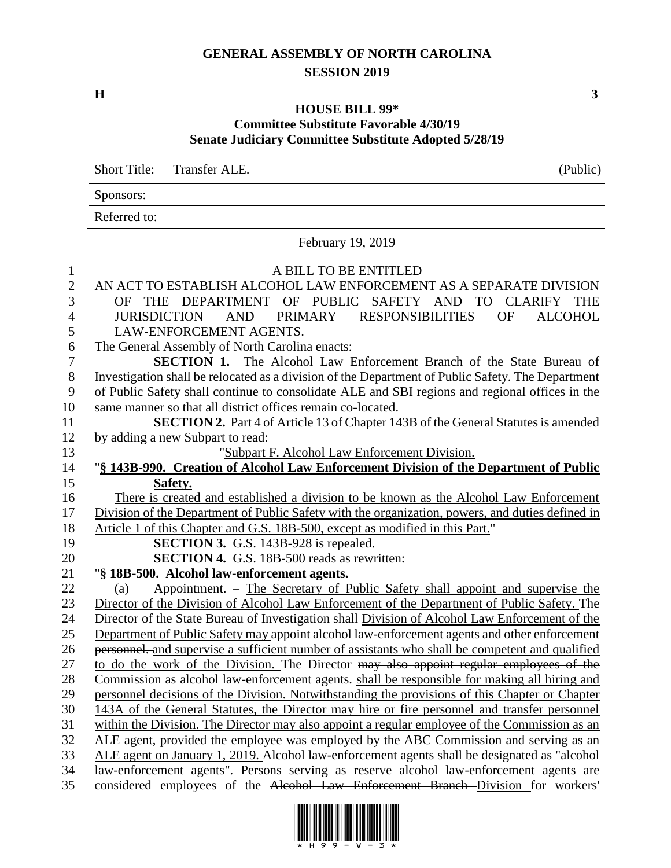## **GENERAL ASSEMBLY OF NORTH CAROLINA SESSION 2019**

**H 3**

## **HOUSE BILL 99\* Committee Substitute Favorable 4/30/19 Senate Judiciary Committee Substitute Adopted 5/28/19**

Short Title: Transfer ALE. (Public) Sponsors:

Referred to:

## February 19, 2019

## A BILL TO BE ENTITLED AN ACT TO ESTABLISH ALCOHOL LAW ENFORCEMENT AS A SEPARATE DIVISION OF THE DEPARTMENT OF PUBLIC SAFETY AND TO CLARIFY THE JURISDICTION AND PRIMARY RESPONSIBILITIES OF ALCOHOL LAW-ENFORCEMENT AGENTS. The General Assembly of North Carolina enacts: **SECTION 1.** The Alcohol Law Enforcement Branch of the State Bureau of Investigation shall be relocated as a division of the Department of Public Safety. The Department of Public Safety shall continue to consolidate ALE and SBI regions and regional offices in the same manner so that all district offices remain co-located. **SECTION 2.** Part 4 of Article 13 of Chapter 143B of the General Statutes is amended by adding a new Subpart to read: "Subpart F. Alcohol Law Enforcement Division. "**§ 143B-990. Creation of Alcohol Law Enforcement Division of the Department of Public Safety.** There is created and established a division to be known as the Alcohol Law Enforcement Division of the Department of Public Safety with the organization, powers, and duties defined in Article 1 of this Chapter and G.S. 18B-500, except as modified in this Part." **SECTION 3.** G.S. 143B-928 is repealed. **SECTION 4.** G.S. 18B-500 reads as rewritten: "**§ 18B-500. Alcohol law-enforcement agents.** (a) Appointment. – The Secretary of Public Safety shall appoint and supervise the Director of the Division of Alcohol Law Enforcement of the Department of Public Safety. The Director of the State Bureau of Investigation shall Division of Alcohol Law Enforcement of the 25 Department of Public Safety may appoint alcohol law-enforcement agents and other enforcement personnel. and supervise a sufficient number of assistants who shall be competent and qualified 27 to do the work of the Division. The Director may also appoint regular employees of the Commission as alcohol law-enforcement agents. shall be responsible for making all hiring and personnel decisions of the Division. Notwithstanding the provisions of this Chapter or Chapter 143A of the General Statutes, the Director may hire or fire personnel and transfer personnel within the Division. The Director may also appoint a regular employee of the Commission as an ALE agent, provided the employee was employed by the ABC Commission and serving as an ALE agent on January 1, 2019. Alcohol law-enforcement agents shall be designated as "alcohol law-enforcement agents". Persons serving as reserve alcohol law-enforcement agents are considered employees of the Alcohol Law Enforcement Branch Division for workers'

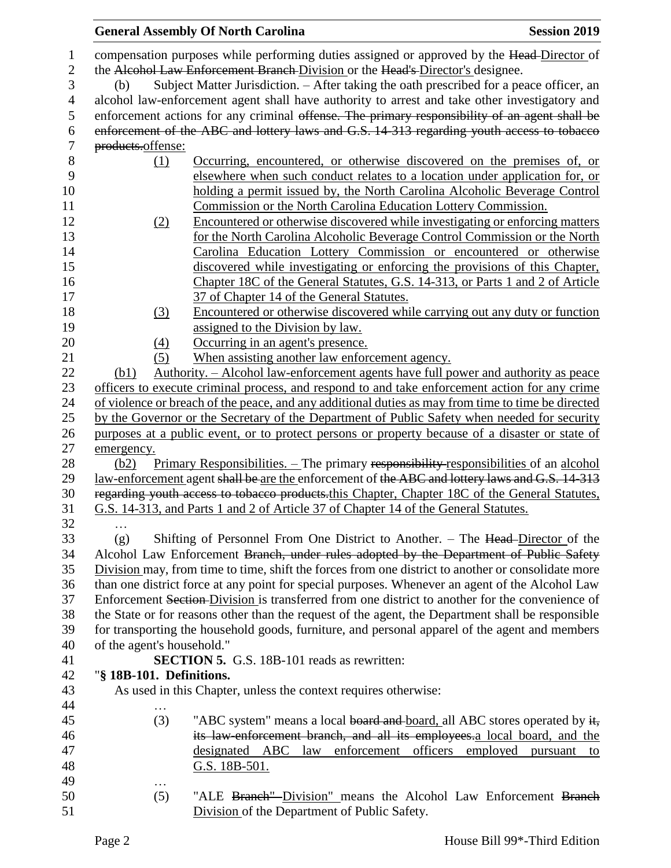|                |                                                                                                 | <b>General Assembly Of North Carolina</b>                                                          | <b>Session 2019</b>        |  |
|----------------|-------------------------------------------------------------------------------------------------|----------------------------------------------------------------------------------------------------|----------------------------|--|
| 1              |                                                                                                 | compensation purposes while performing duties assigned or approved by the Head-Director of         |                            |  |
| $\mathbf{2}$   | the Alcohol Law Enforcement Branch Division or the Head's Director's designee.                  |                                                                                                    |                            |  |
| 3              | Subject Matter Jurisdiction. – After taking the oath prescribed for a peace officer, an<br>(b)  |                                                                                                    |                            |  |
| $\overline{4}$ | alcohol law-enforcement agent shall have authority to arrest and take other investigatory and   |                                                                                                    |                            |  |
| 5              |                                                                                                 | enforcement actions for any criminal offense. The primary responsibility of an agent shall be      |                            |  |
| 6              | enforcement of the ABC and lottery laws and G.S. 14-313 regarding youth access to tobacco       |                                                                                                    |                            |  |
| $\tau$         | products.offense:                                                                               |                                                                                                    |                            |  |
| 8              | (1)                                                                                             | Occurring, encountered, or otherwise discovered on the premises of, or                             |                            |  |
| 9              |                                                                                                 | elsewhere when such conduct relates to a location under application for, or                        |                            |  |
| 10             |                                                                                                 | holding a permit issued by, the North Carolina Alcoholic Beverage Control                          |                            |  |
| 11             |                                                                                                 | Commission or the North Carolina Education Lottery Commission.                                     |                            |  |
| 12             | (2)                                                                                             | Encountered or otherwise discovered while investigating or enforcing matters                       |                            |  |
| 13             |                                                                                                 | for the North Carolina Alcoholic Beverage Control Commission or the North                          |                            |  |
| 14             |                                                                                                 | Carolina Education Lottery Commission or encountered or otherwise                                  |                            |  |
| 15             |                                                                                                 | discovered while investigating or enforcing the provisions of this Chapter,                        |                            |  |
| 16             |                                                                                                 | Chapter 18C of the General Statutes, G.S. 14-313, or Parts 1 and 2 of Article                      |                            |  |
| 17             |                                                                                                 | 37 of Chapter 14 of the General Statutes.                                                          |                            |  |
| 18             | (3)                                                                                             | Encountered or otherwise discovered while carrying out any duty or function                        |                            |  |
| 19             |                                                                                                 | assigned to the Division by law.                                                                   |                            |  |
| 20             | $\left(4\right)$                                                                                | Occurring in an agent's presence.                                                                  |                            |  |
| 21             | (5)                                                                                             | When assisting another law enforcement agency.                                                     |                            |  |
| 22             | (b1)                                                                                            | Authority. – Alcohol law-enforcement agents have full power and authority as peace                 |                            |  |
| 23             |                                                                                                 | officers to execute criminal process, and respond to and take enforcement action for any crime     |                            |  |
| 24             |                                                                                                 | of violence or breach of the peace, and any additional duties as may from time to time be directed |                            |  |
| 25             |                                                                                                 | by the Governor or the Secretary of the Department of Public Safety when needed for security       |                            |  |
| 26             | purposes at a public event, or to protect persons or property because of a disaster or state of |                                                                                                    |                            |  |
| 27             | emergency.                                                                                      |                                                                                                    |                            |  |
| 28             | (b2)                                                                                            | <u>Primary Responsibilities. – The primary responsibility responsibilities</u> of an alcohol       |                            |  |
| 29             | law-enforcement agent shall be are the enforcement of the ABC and lottery laws and G.S. 14-313  |                                                                                                    |                            |  |
| 30             | regarding youth access to tobacco products.this Chapter, Chapter 18C of the General Statutes,   |                                                                                                    |                            |  |
| 31             |                                                                                                 | G.S. 14-313, and Parts 1 and 2 of Article 37 of Chapter 14 of the General Statutes.                |                            |  |
| 32             |                                                                                                 |                                                                                                    |                            |  |
| 33             | (g)                                                                                             | Shifting of Personnel From One District to Another. – The Head-Director of the                     |                            |  |
| 34             |                                                                                                 | Alcohol Law Enforcement Branch, under rules adopted by the Department of Public Safety             |                            |  |
| 35             |                                                                                                 | Division may, from time to time, shift the forces from one district to another or consolidate more |                            |  |
| 36             |                                                                                                 | than one district force at any point for special purposes. Whenever an agent of the Alcohol Law    |                            |  |
| 37             |                                                                                                 | Enforcement Section-Division is transferred from one district to another for the convenience of    |                            |  |
| 38             |                                                                                                 | the State or for reasons other than the request of the agent, the Department shall be responsible  |                            |  |
| 39             |                                                                                                 | for transporting the household goods, furniture, and personal apparel of the agent and members     |                            |  |
| 40             | of the agent's household."                                                                      |                                                                                                    |                            |  |
| 41             | <b>SECTION 5.</b> G.S. 18B-101 reads as rewritten:                                              |                                                                                                    |                            |  |
| 42             | "§ 18B-101. Definitions.                                                                        |                                                                                                    |                            |  |
| 43             |                                                                                                 | As used in this Chapter, unless the context requires otherwise:                                    |                            |  |
| 44             | .                                                                                               |                                                                                                    |                            |  |
| 45             | (3)                                                                                             | "ABC system" means a local board and board, all ABC stores operated by it,                         |                            |  |
| 46             |                                                                                                 | its law-enforcement branch, and all its employees.a local board, and the                           |                            |  |
| 47             |                                                                                                 | designated ABC law enforcement officers                                                            | employed<br>pursuant<br>to |  |
| 48             |                                                                                                 | G.S. 18B-501.                                                                                      |                            |  |
| 49             | .                                                                                               |                                                                                                    |                            |  |
| 50             | (5)                                                                                             | "ALE Branch"-Division" means the Alcohol Law Enforcement Branch                                    |                            |  |
| 51             |                                                                                                 | Division of the Department of Public Safety.                                                       |                            |  |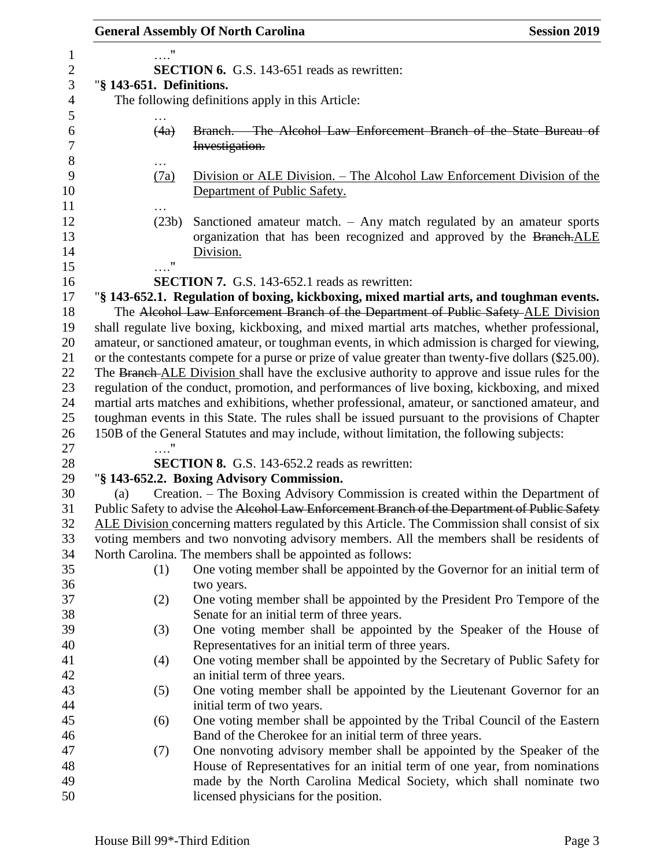|                          | <b>General Assembly Of North Carolina</b><br><b>Session 2019</b>                                                           |
|--------------------------|----------------------------------------------------------------------------------------------------------------------------|
| "                        |                                                                                                                            |
|                          | <b>SECTION 6.</b> G.S. 143-651 reads as rewritten:                                                                         |
| "§ 143-651. Definitions. |                                                                                                                            |
|                          | The following definitions apply in this Article:                                                                           |
|                          |                                                                                                                            |
| (4a)                     | Branch. The Alcohol Law Enforcement Branch of the State Bureau of                                                          |
|                          | Investigation.                                                                                                             |
|                          |                                                                                                                            |
| (7a)                     | Division or ALE Division. – The Alcohol Law Enforcement Division of the                                                    |
|                          | Department of Public Safety.                                                                                               |
|                          |                                                                                                                            |
| (23b)                    | Sanctioned amateur match. $-$ Any match regulated by an amateur sports                                                     |
|                          | organization that has been recognized and approved by the Branch.ALE                                                       |
| 11                       | Division.                                                                                                                  |
|                          | <b>SECTION 7.</b> G.S. 143-652.1 reads as rewritten:                                                                       |
|                          | "§ 143-652.1. Regulation of boxing, kickboxing, mixed martial arts, and toughman events.                                   |
|                          | The Alcohol Law Enforcement Branch of the Department of Public Safety-ALE Division                                         |
|                          | shall regulate live boxing, kickboxing, and mixed martial arts matches, whether professional,                              |
|                          | amateur, or sanctioned amateur, or toughman events, in which admission is charged for viewing,                             |
|                          | or the contestants compete for a purse or prize of value greater than twenty-five dollars (\$25.00).                       |
|                          | The Branch ALE Division shall have the exclusive authority to approve and issue rules for the                              |
|                          | regulation of the conduct, promotion, and performances of live boxing, kickboxing, and mixed                               |
|                          | martial arts matches and exhibitions, whether professional, amateur, or sanctioned amateur, and                            |
|                          | toughman events in this State. The rules shall be issued pursuant to the provisions of Chapter                             |
|                          | 150B of the General Statutes and may include, without limitation, the following subjects:                                  |
|                          |                                                                                                                            |
|                          | <b>SECTION 8.</b> G.S. 143-652.2 reads as rewritten:                                                                       |
|                          | "§ 143-652.2. Boxing Advisory Commission.                                                                                  |
| (a)                      | Creation. – The Boxing Advisory Commission is created within the Department of                                             |
|                          | Public Safety to advise the Alcohol Law Enforcement Branch of the Department of Public Safety                              |
|                          | ALE Division concerning matters regulated by this Article. The Commission shall consist of six                             |
|                          | voting members and two nonvoting advisory members. All the members shall be residents of                                   |
|                          | North Carolina. The members shall be appointed as follows:                                                                 |
| (1)                      | One voting member shall be appointed by the Governor for an initial term of                                                |
|                          | two years.                                                                                                                 |
| (2)                      | One voting member shall be appointed by the President Pro Tempore of the                                                   |
|                          | Senate for an initial term of three years.                                                                                 |
| (3)                      | One voting member shall be appointed by the Speaker of the House of<br>Representatives for an initial term of three years. |
| (4)                      | One voting member shall be appointed by the Secretary of Public Safety for                                                 |
|                          | an initial term of three years.                                                                                            |
| (5)                      | One voting member shall be appointed by the Lieutenant Governor for an                                                     |
|                          | initial term of two years.                                                                                                 |
| (6)                      | One voting member shall be appointed by the Tribal Council of the Eastern                                                  |
|                          | Band of the Cherokee for an initial term of three years.                                                                   |
| (7)                      | One nonvoting advisory member shall be appointed by the Speaker of the                                                     |
|                          | House of Representatives for an initial term of one year, from nominations                                                 |
|                          | made by the North Carolina Medical Society, which shall nominate two                                                       |
|                          | licensed physicians for the position.                                                                                      |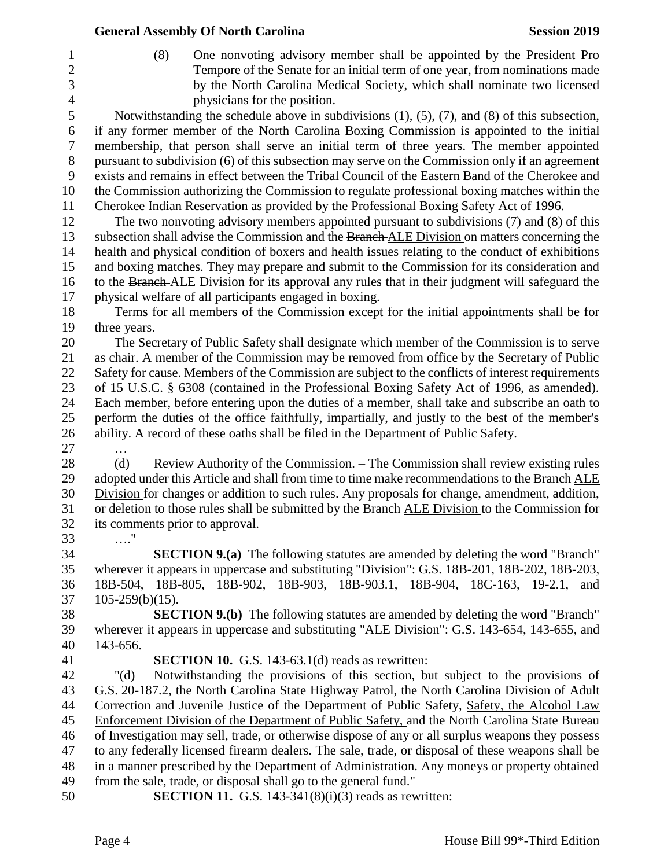|                | <b>General Assembly Of North Carolina</b><br><b>Session 2019</b>                                         |
|----------------|----------------------------------------------------------------------------------------------------------|
| $\mathbf{1}$   | One nonvoting advisory member shall be appointed by the President Pro<br>(8)                             |
| $\overline{2}$ | Tempore of the Senate for an initial term of one year, from nominations made                             |
| 3              | by the North Carolina Medical Society, which shall nominate two licensed                                 |
| $\overline{4}$ | physicians for the position.                                                                             |
| 5              | Notwithstanding the schedule above in subdivisions $(1)$ , $(5)$ , $(7)$ , and $(8)$ of this subsection, |
| 6              | if any former member of the North Carolina Boxing Commission is appointed to the initial                 |
| 7              | membership, that person shall serve an initial term of three years. The member appointed                 |
| 8              | pursuant to subdivision (6) of this subsection may serve on the Commission only if an agreement          |
| 9              | exists and remains in effect between the Tribal Council of the Eastern Band of the Cherokee and          |
| 10             | the Commission authorizing the Commission to regulate professional boxing matches within the             |
| 11             | Cherokee Indian Reservation as provided by the Professional Boxing Safety Act of 1996.                   |
| 12             | The two nonvoting advisory members appointed pursuant to subdivisions (7) and (8) of this                |
| 13             | subsection shall advise the Commission and the Branch ALE Division on matters concerning the             |
| 14             | health and physical condition of boxers and health issues relating to the conduct of exhibitions         |
| 15             | and boxing matches. They may prepare and submit to the Commission for its consideration and              |
| 16             | to the Branch-ALE Division for its approval any rules that in their judgment will safeguard the          |
| 17             | physical welfare of all participants engaged in boxing.                                                  |
| 18             | Terms for all members of the Commission except for the initial appointments shall be for                 |
| 19             | three years.                                                                                             |
| 20             | The Secretary of Public Safety shall designate which member of the Commission is to serve                |
| 21             | as chair. A member of the Commission may be removed from office by the Secretary of Public               |
| 22             | Safety for cause. Members of the Commission are subject to the conflicts of interest requirements        |
| 23             | of 15 U.S.C. § 6308 (contained in the Professional Boxing Safety Act of 1996, as amended).               |
| 24             | Each member, before entering upon the duties of a member, shall take and subscribe an oath to            |
| 25             | perform the duties of the office faithfully, impartially, and justly to the best of the member's         |
| 26             | ability. A record of these oaths shall be filed in the Department of Public Safety.                      |
| 27             |                                                                                                          |
| 28             | (d)<br>Review Authority of the Commission. – The Commission shall review existing rules                  |
| 29             | adopted under this Article and shall from time to time make recommendations to the Branch ALE            |
| 30             | Division for changes or addition to such rules. Any proposals for change, amendment, addition,           |
| 31             | or deletion to those rules shall be submitted by the Branch ALE Division to the Commission for           |
| 32             | its comments prior to approval.                                                                          |
| 33             | $\ldots$ "                                                                                               |
| 34             | <b>SECTION 9.(a)</b> The following statutes are amended by deleting the word "Branch"                    |
| 35             | wherever it appears in uppercase and substituting "Division": G.S. 18B-201, 18B-202, 18B-203,            |
| 36             | 18B-504, 18B-805, 18B-902, 18B-903, 18B-903.1, 18B-904, 18C-163, 19-2.1, and                             |
| 37             | $105-259(b)(15)$ .                                                                                       |
| 38             | <b>SECTION 9.(b)</b> The following statutes are amended by deleting the word "Branch"                    |
| 39             | wherever it appears in uppercase and substituting "ALE Division": G.S. 143-654, 143-655, and<br>143-656. |
| 40<br>41       | <b>SECTION 10.</b> G.S. 143-63.1(d) reads as rewritten:                                                  |
| 42             | Notwithstanding the provisions of this section, but subject to the provisions of<br>" $(d)$              |
| 43             | G.S. 20-187.2, the North Carolina State Highway Patrol, the North Carolina Division of Adult             |
| 44             | Correction and Juvenile Justice of the Department of Public Safety, Safety, the Alcohol Law              |
| 45             | Enforcement Division of the Department of Public Safety, and the North Carolina State Bureau             |
| 46             | of Investigation may sell, trade, or otherwise dispose of any or all surplus weapons they possess        |
| 47             | to any federally licensed firearm dealers. The sale, trade, or disposal of these weapons shall be        |
| 48             | in a manner prescribed by the Department of Administration. Any moneys or property obtained              |
| 49             | from the sale, trade, or disposal shall go to the general fund."                                         |
| 50             | <b>SECTION 11.</b> G.S. 143-341 $(8)(i)(3)$ reads as rewritten:                                          |